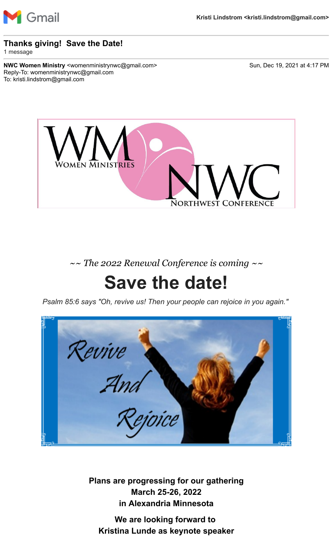

#### **Thanks giving! Save the Date!**

1 message

**NWC Women Ministry** <womenministrynwc@gmail.com> Sun, Dec 19, 2021 at 4:17 PM Reply-To: womenministrynwc@gmail.com To: kristi.lindstrom@gmail.com



*~~ The 2022 Renewal Conference is coming ~~*

## **Save the date!**

*Psalm 85:6 says "Oh, revive us! Then your people can rejoice in you again."*

Revive<br>Zand

**Plans are progressing for our gathering March 25-26, 2022 in Alexandria Minnesota**

**We are looking forward to Kristina Lunde as keynote speaker**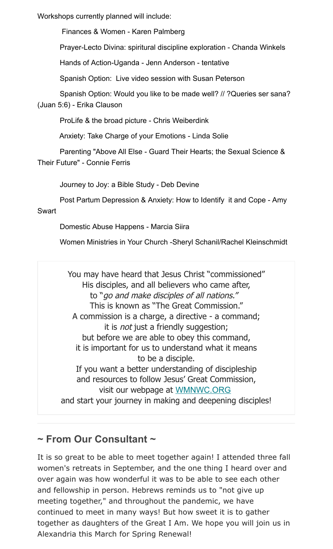Workshops currently planned will include:

Finances & Women - Karen Palmberg

Prayer-Lecto Divina: spiritural discipline exploration - Chanda Winkels

Hands of Action-Uganda - Jenn Anderson - tentative

Spanish Option: Live video session with Susan Peterson

Spanish Option: Would you like to be made well? // ?Queries ser sana? (Juan 5:6) - Erika Clauson

ProLife & the broad picture - Chris Weiberdink

Anxiety: Take Charge of your Emotions - Linda Solie

Parenting "Above All Else - Guard Their Hearts; the Sexual Science & Their Future" - Connie Ferris

Journey to Joy: a Bible Study - Deb Devine

Post Partum Depression & Anxiety: How to Identify it and Cope - Amy

#### Swart

Domestic Abuse Happens - Marcia Siira

Women Ministries in Your Church -Sheryl Schanil/Rachel Kleinschmidt

You may have heard that Jesus Christ "commissioned" His disciples, and all believers who came after, to "go and make disciples of all nations." This is known as "The Great Commission." A commission is a charge, a directive - a command; it is *not* just a friendly suggestion; but before we are able to obey this command, it is important for us to understand what it means to be a disciple. If you want a better understanding of discipleship and resources to follow Jesus' Great Commission, visit our webpage at [WMNWC.ORG](https://wmnwc.us2.list-manage.com/track/click?u=d56fa369e8160b60e1d90f9e6&id=932018d797&e=cadd164f9c) and start your journey in making and deepening disciples!

### **~ From Our Consultant ~**

It is so great to be able to meet together again! I attended three fall women's retreats in September, and the one thing I heard over and over again was how wonderful it was to be able to see each other and fellowship in person. Hebrews reminds us to "not give up meeting together," and throughout the pandemic, we have continued to meet in many ways! But how sweet it is to gather together as daughters of the Great I Am. We hope you will join us in Alexandria this March for Spring Renewal!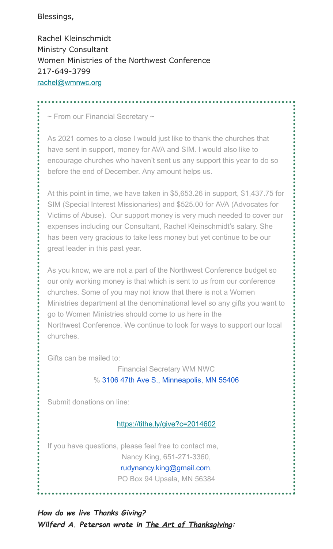#### Blessings,

Rachel Kleinschmidt Ministry Consultant Women Ministries of the Northwest Conference 217-649-3799 [rachel@wmnwc.org](mailto:rachel@wmnwc.org)

~ From our Financial Secretary ~

As 2021 comes to a close I would just like to thank the churches that have sent in support, money for AVA and SIM. I would also like to encourage churches who haven't sent us any support this year to do so before the end of December. Any amount helps us.

At this point in time, we have taken in \$5,653.26 in support, \$1,437.75 for SIM (Special Interest Missionaries) and \$525.00 for AVA (Advocates for Victims of Abuse). Our support money is very much needed to cover our expenses including our Consultant, Rachel Kleinschmidt's salary. She has been very gracious to take less money but yet continue to be our great leader in this past year.

As you know, we are not a part of the Northwest Conference budget so our only working money is that which is sent to us from our conference churches. Some of you may not know that there is not a Women Ministries department at the denominational level so any gifts you want to go to Women Ministries should come to us here in the Northwest Conference. We continue to look for ways to support our local churches.

Gifts can be mailed to:

Financial Secretary WM NWC % [3106 47th Ave S., Minneapolis, MN 55406](https://www.google.com/maps/search/3106+47th+Ave+S.,+Minneapolis,+MN+55406?entry=gmail&source=g)

Submit donations on line:

[https://tithe.ly/give?c=2014602](https://wmnwc.us2.list-manage.com/track/click?u=d56fa369e8160b60e1d90f9e6&id=10dde7c876&e=cadd164f9c)

If you have questions, please feel free to contact me, Nancy King, 651-271-3360, [rudynancy.king@gmail.com](mailto:rudynancy.king@gmail.com),

PO Box 94 Upsala, MN 56384

*How do we live Thanks Giving? Wilferd A. Peterson wrote in The Art of Thanksgiving:*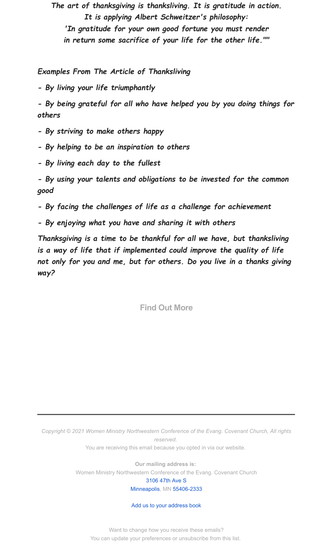*The art of thanksgiving is thanksliving. It is gratitude in action. It is applying Albert Schweitzer's philosophy: 'In gratitude for your own good fortune you must render in return some sacrifice of your life for the other life.""*

*Examples From The Article of Thanksliving*

*- By living your life triumphantly*

*- By being grateful for all who have helped you by you doing things for others*

- *By striving to make others happy*
- *By helping to be an inspiration to others*
- *By living each day to the fullest*

*- By using your talents and obligations to be invested for the common good*

- *By facing the challenges of life as a challenge for achievement*
- *By enjoying what you have and sharing it with others*

*Thanksgiving is a time to be thankful for all we have, but thanksliving is a way of life that if implemented could improve the quality of life not only for you and me, but for others. Do you live in a thanks giving way?*

**Find Out More**

*Copyright © 2021 Women Ministry Northwestern Conference of the Evang. Covenant Church, All rights reserved.*

You are receiving this email because you opted in via our website.

**Our mailing address is:** Women Ministry Northwestern Conference of the Evang. Covenant Church

#### [3106 47th Ave S](https://www.google.com/maps/search/3106+47th+Ave+S+Minneapolis+,++MN+55406-2333?entry=gmail&source=g) [Minneapolis,](https://www.google.com/maps/search/3106+47th+Ave+S+Minneapolis+,++MN+55406-2333?entry=gmail&source=g) MN [55406-2333](https://www.google.com/maps/search/3106+47th+Ave+S+Minneapolis+,++MN+55406-2333?entry=gmail&source=g)

#### [Add us to your address book](https://wmnwc.us2.list-manage.com/vcard?u=d56fa369e8160b60e1d90f9e6&id=115d5f58b8)

Want to change how you receive these emails? You can [update your preferences](https://wmnwc.us2.list-manage.com/profile?u=d56fa369e8160b60e1d90f9e6&id=115d5f58b8&e=cadd164f9c&c=ef6bcc57ee) or [unsubscribe from this list.](https://wmnwc.us2.list-manage.com/unsubscribe?u=d56fa369e8160b60e1d90f9e6&id=115d5f58b8&e=cadd164f9c&c=ef6bcc57ee)